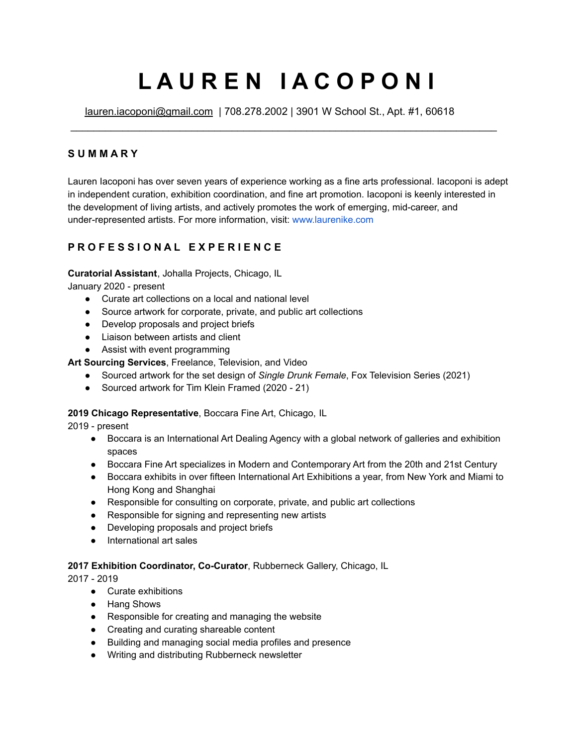# **L A U R E N I A C O P O N I**

\_\_\_\_\_\_\_\_\_\_\_\_\_\_\_\_\_\_\_\_\_\_\_\_\_\_\_\_\_\_\_\_\_\_\_\_\_\_\_\_\_\_\_\_\_\_\_\_\_\_\_\_\_\_\_\_\_\_\_\_\_\_\_\_\_\_\_\_\_\_\_\_\_\_

[lauren.iacoponi@gmail.com](mailto:lauren.iacoponi@gmail.com) | 708.278.2002 | 3901 W School St., Apt. #1, 60618

# **S U M M A R Y**

Lauren Iacoponi has over seven years of experience working as a fine arts professional. Iacoponi is adept in independent curation, exhibition coordination, and fine art promotion. Iacoponi is keenly interested in the development of living artists, and actively promotes the work of emerging, mid-career, and under-represented artists. For more information, visit: [www.laurenike.com](http://www.laurenike.com)

# **P R O F E S S I O N A L E X P E R I E N C E**

## **Curatorial Assistant**, Johalla Projects, Chicago, IL

January 2020 - present

- Curate art collections on a local and national level
- Source artwork for corporate, private, and public art collections
- Develop proposals and project briefs
- Liaison between artists and client
- Assist with event programming

**Art Sourcing Services**, Freelance, Television, and Video

- Sourced artwork for the set design of *Single Drunk Female*, Fox Television Series (2021)
- Sourced artwork for Tim Klein Framed (2020 21)

# **2019 Chicago Representative**, Boccara Fine Art, Chicago, IL

2019 - present

- Boccara is an International Art Dealing Agency with a global network of galleries and exhibition spaces
- Boccara Fine Art specializes in Modern and Contemporary Art from the 20th and 21st Century
- Boccara exhibits in over fifteen International Art Exhibitions a year, from New York and Miami to Hong Kong and Shanghai
- Responsible for consulting on corporate, private, and public art collections
- Responsible for signing and representing new artists
- Developing proposals and project briefs
- International art sales

## **2017 Exhibition Coordinator, Co-Curator**, Rubberneck Gallery, Chicago, IL

2017 - 2019

- Curate exhibitions
- Hang Shows
- Responsible for creating and managing the website
- Creating and curating shareable content
- Building and managing social media profiles and presence
- Writing and distributing Rubberneck newsletter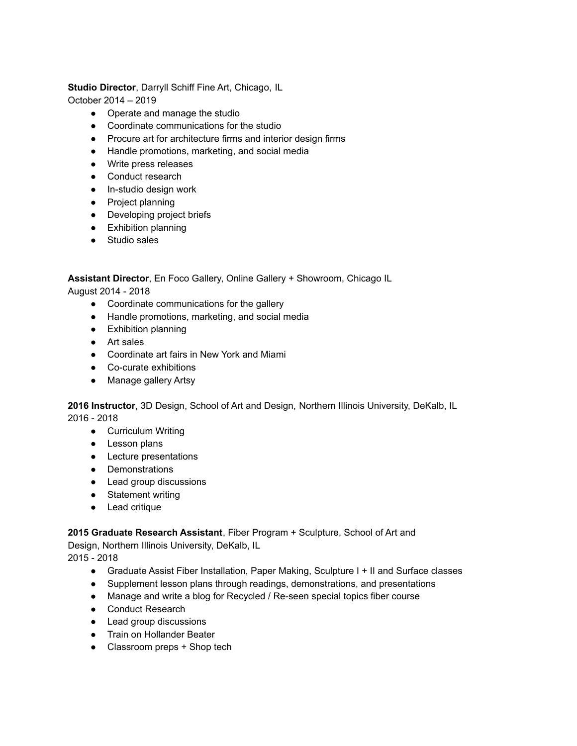**Studio Director**, Darryll Schiff Fine Art, Chicago, IL

October 2014 – 2019

- Operate and manage the studio
- Coordinate communications for the studio
- Procure art for architecture firms and interior design firms
- Handle promotions, marketing, and social media
- Write press releases
- Conduct research
- In-studio design work
- Project planning
- Developing project briefs
- Exhibition planning
- Studio sales

**Assistant Director**, En Foco Gallery, Online Gallery + Showroom, Chicago IL

August 2014 - 2018

- Coordinate communications for the gallery
- Handle promotions, marketing, and social media
- Exhibition planning
- Art sales
- Coordinate art fairs in New York and Miami
- Co-curate exhibitions
- Manage gallery Artsy

**2016 Instructor**, 3D Design, School of Art and Design, Northern Illinois University, DeKalb, IL 2016 - 2018

- Curriculum Writing
- Lesson plans
- Lecture presentations
- Demonstrations
- Lead group discussions
- Statement writing
- Lead critique

**2015 Graduate Research Assistant**, Fiber Program + Sculpture, School of Art and Design, Northern Illinois University, DeKalb, IL

2015 - 2018

- Graduate Assist Fiber Installation, Paper Making, Sculpture I + II and Surface classes
- Supplement lesson plans through readings, demonstrations, and presentations
- Manage and write a blog for Recycled / Re-seen special topics fiber course
- Conduct Research
- Lead group discussions
- Train on Hollander Beater
- Classroom preps + Shop tech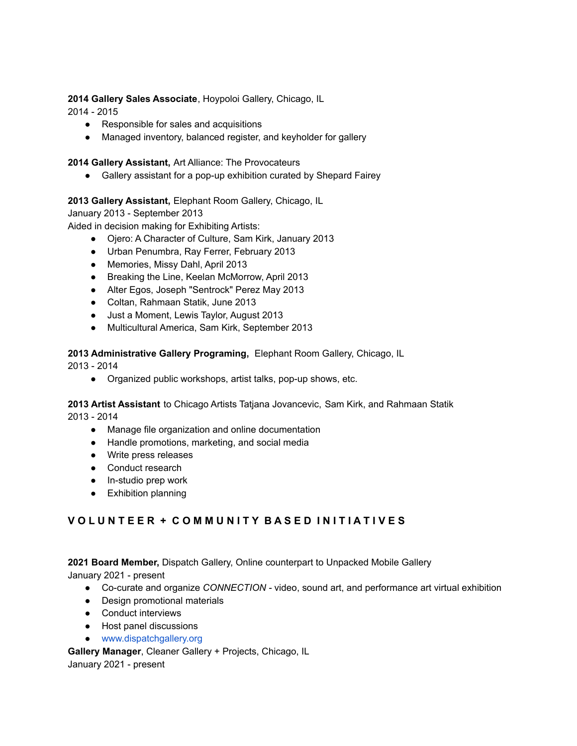## **2014 Gallery Sales Associate**, Hoypoloi Gallery, Chicago, IL

2014 - 2015

- Responsible for sales and acquisitions
- Managed inventory, balanced register, and keyholder for gallery

## **2014 Gallery Assistant,** Art Alliance: The Provocateurs

● Gallery assistant for a pop-up exhibition curated by Shepard Fairey

# **2013 Gallery Assistant,** Elephant Room Gallery, Chicago, IL

January 2013 - September 2013

Aided in decision making for Exhibiting Artists:

- Ojero: A Character of Culture, Sam Kirk, January 2013
- Urban Penumbra, Ray Ferrer, February 2013
- Memories, Missy Dahl, April 2013
- Breaking the Line, Keelan McMorrow, April 2013
- Alter Egos, Joseph "Sentrock" Perez May 2013
- Coltan, Rahmaan Statik, June 2013
- Just a Moment, Lewis Taylor, August 2013
- Multicultural America, Sam Kirk, September 2013

**2013 Administrative Gallery Programing,** Elephant Room Gallery, Chicago, IL

2013 - 2014

● Organized public workshops, artist talks, pop-up shows, etc.

**2013 Artist Assistant** to Chicago Artists Tatjana Jovancevic, Sam Kirk, and Rahmaan Statik 2013 - 2014

- Manage file organization and online documentation
- Handle promotions, marketing, and social media
- Write press releases
- Conduct research
- In-studio prep work
- Exhibition planning

# VOLUNTEER + COMMUNITY BASED INITIATIVES

**2021 Board Member,** Dispatch Gallery, Online counterpart to Unpacked Mobile Gallery January 2021 - present

- Co-curate and organize *CONNECTION -* video, sound art, and performance art virtual exhibition
- Design promotional materials
- Conduct interviews
- Host panel discussions
- [www.dispatchgallery.org](https://www.dispatchgallery.org)

**Gallery Manager**, Cleaner Gallery + Projects, Chicago, IL January 2021 - present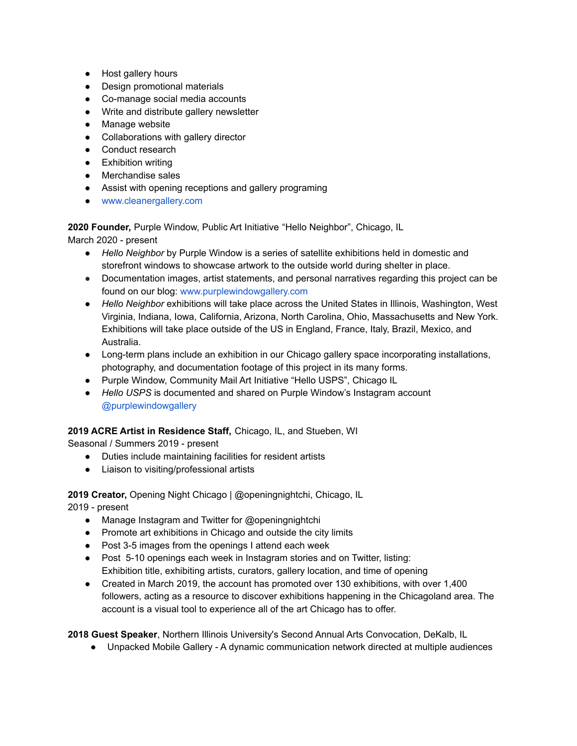- Host gallery hours
- Design promotional materials
- Co-manage social media accounts
- Write and distribute gallery newsletter
- Manage website
- Collaborations with gallery director
- Conduct research
- Exhibition writing
- Merchandise sales
- Assist with opening receptions and gallery programing
- [www.cleanergallery.com](http://www.cleanergallery.com)

**2020 Founder,** Purple Window, Public Art Initiative "Hello Neighbor", Chicago, IL

March 2020 - present

- *Hello Neighbor* by Purple Window is a series of satellite exhibitions held in domestic and storefront windows to showcase artwork to the outside world during shelter in place.
- Documentation images, artist statements, and personal narratives regarding this project can be found on our blog: [www.purplewindowgallery.com](http://www.purplewindowgallery.com)
- *Hello Neighbor* exhibitions will take place across the United States in Illinois, Washington, West Virginia, Indiana, Iowa, California, Arizona, North Carolina, Ohio, Massachusetts and New York. Exhibitions will take place outside of the US in England, France, Italy, Brazil, Mexico, and Australia.
- Long-term plans include an exhibition in our Chicago gallery space incorporating installations, photography, and documentation footage of this project in its many forms.
- Purple Window, Community Mail Art Initiative "Hello USPS", Chicago IL
- *Hello USPS* is documented and shared on Purple Window's Instagram account [@purplewindowgallery](https://www.instagram.com/purplewindowgallery/)

## **2019 ACRE Artist in Residence Staff,** Chicago, IL, and Stueben, WI

Seasonal / Summers 2019 - present

- Duties include maintaining facilities for resident artists
- Liaison to visiting/professional artists

**2019 Creator,** Opening Night Chicago | @openingnightchi, Chicago, IL

2019 - present

- Manage Instagram and Twitter for @openingnightchi
- Promote art exhibitions in Chicago and outside the city limits
- Post 3-5 images from the openings I attend each week
- Post 5-10 openings each week in Instagram stories and on Twitter, listing: Exhibition title, exhibiting artists, curators, gallery location, and time of opening
- Created in March 2019, the account has promoted over 130 exhibitions, with over 1,400 followers, acting as a resource to discover exhibitions happening in the Chicagoland area. The account is a visual tool to experience all of the art Chicago has to offer.

**2018 Guest Speaker**, Northern Illinois University's Second Annual Arts Convocation, DeKalb, IL

● Unpacked Mobile Gallery - A dynamic communication network directed at multiple audiences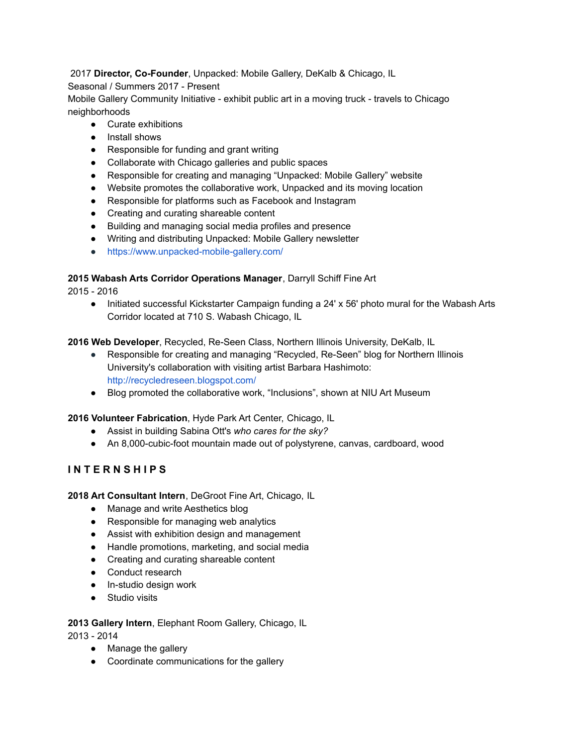# 2017 **Director, Co-Founder**, Unpacked: Mobile Gallery, DeKalb & Chicago, IL

# Seasonal / Summers 2017 - Present

Mobile Gallery Community Initiative - exhibit public art in a moving truck - travels to Chicago neighborhoods

- Curate exhibitions
- Install shows
- Responsible for funding and grant writing
- Collaborate with Chicago galleries and public spaces
- Responsible for creating and managing "Unpacked: Mobile Gallery" website
- Website promotes the collaborative work, Unpacked and its moving location
- Responsible for platforms such as Facebook and Instagram
- Creating and curating shareable content
- Building and managing social media profiles and presence
- Writing and distributing Unpacked: Mobile Gallery newsletter
- <https://www.unpacked-mobile-gallery.com/>

# **2015 Wabash Arts Corridor Operations Manager**, Darryll Schiff Fine Art

2015 - 2016

● Initiated successful Kickstarter Campaign funding a 24' x 56' photo mural for the Wabash Arts Corridor located at 710 S. Wabash Chicago, IL

# **2016 Web Developer**, Recycled, Re-Seen Class, Northern Illinois University, DeKalb, IL

- Responsible for creating and managing "Recycled, Re-Seen" blog for Northern Illinois University's collaboration with visiting artist Barbara Hashimoto: <http://recycledreseen.blogspot.com/>
- Blog promoted the collaborative work, "Inclusions", shown at NIU Art Museum

## **2016 Volunteer Fabrication**, Hyde Park Art Center, Chicago, IL

- Assist in building Sabina Ott's *who cares for the sky?*
- An 8,000-cubic-foot mountain made out of polystyrene, canvas, cardboard, wood

# **I N T E R N S H I P S**

## **2018 Art Consultant Intern**, DeGroot Fine Art, Chicago, IL

- Manage and write Aesthetics blog
- Responsible for managing web analytics
- Assist with exhibition design and management
- Handle promotions, marketing, and social media
- Creating and curating shareable content
- Conduct research
- In-studio design work
- Studio visits

# **2013 Gallery Intern**, Elephant Room Gallery, Chicago, IL

2013 - 2014

- Manage the gallery
- Coordinate communications for the gallery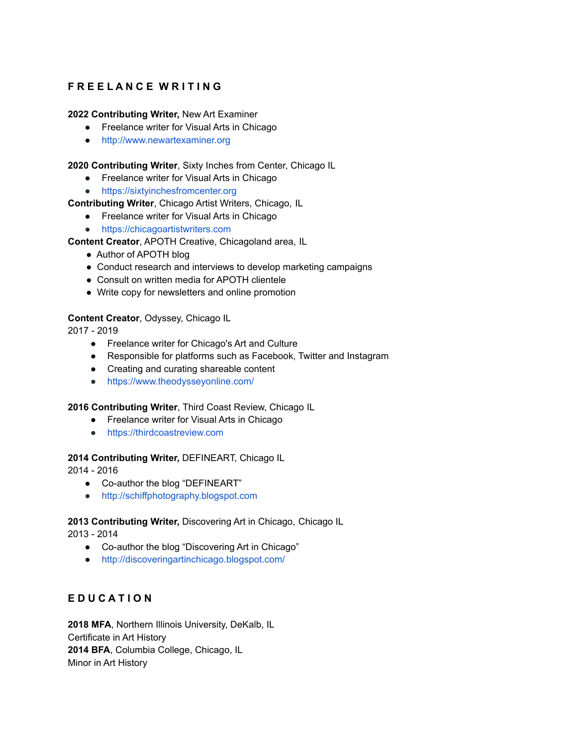# **F R E E L A N C E W R I T I N G**

## **2022 Contributing Writer,** New Art Examiner

- Freelance writer for Visual Arts in Chicago
- <http://www.newartexaminer.org>

**2020 Contributing Writer**, Sixty Inches from Center, Chicago IL

- Freelance writer for Visual Arts in Chicago
- <https://sixtyinchesfromcenter.org>

# **Contributing Writer**, Chicago Artist Writers, Chicago, IL

- Freelance writer for Visual Arts in Chicago
- <https://chicagoartistwriters.com>

# **Content Creator**, APOTH Creative, Chicagoland area, IL

- Author of APOTH blog
- Conduct research and interviews to develop marketing campaigns
- Consult on written media for APOTH clientele
- Write copy for newsletters and online promotion

# **Content Creator**, Odyssey, Chicago IL

2017 - 2019

- Freelance writer for Chicago's Art and Culture
- Responsible for platforms such as Facebook, Twitter and Instagram
- Creating and curating shareable content
- <https://www.theodysseyonline.com/>

## **2016 Contributing Writer**, Third Coast Review, Chicago IL

- Freelance writer for Visual Arts in Chicago
- <https://thirdcoastreview.com>

## **2014 Contributing Writer,** DEFINEART, Chicago IL

2014 - 2016

- Co-author the blog "DEFINEART"
- <http://schiffphotography.blogspot.com>

## **2013 Contributing Writer,** Discovering Art in Chicago, Chicago IL

2013 - 2014

- Co-author the blog "Discovering Art in Chicago"
- <http://discoveringartinchicago.blogspot.com/>

# **E D U C A T I O N**

**2018 MFA**, Northern Illinois University, DeKalb, IL Certificate in Art History **2014 BFA**, Columbia College, Chicago, IL Minor in Art History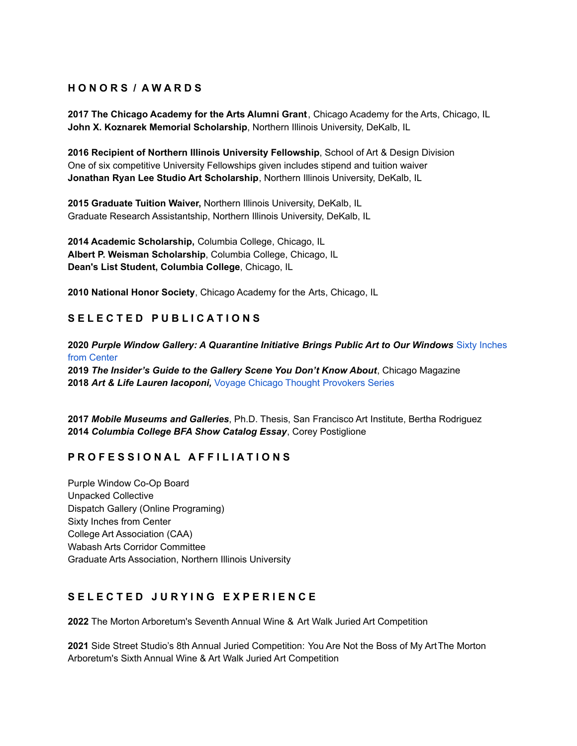# **H O N O R S / A W A R D S**

**2017 The Chicago Academy for the Arts Alumni Grant**, Chicago Academy for the Arts, Chicago, IL **John X. Koznarek Memorial Scholarship**, Northern Illinois University, DeKalb, IL

**2016 Recipient of Northern Illinois University Fellowship**, School of Art & Design Division One of six competitive University Fellowships given includes stipend and tuition waiver **Jonathan Ryan Lee Studio Art Scholarship**, Northern Illinois University, DeKalb, IL

**2015 Graduate Tuition Waiver,** Northern Illinois University, DeKalb, IL Graduate Research Assistantship, Northern Illinois University, DeKalb, IL

**2014 Academic Scholarship,** Columbia College, Chicago, IL **Albert P. Weisman Scholarship**, Columbia College, Chicago, IL **Dean's List Student, Columbia College**, Chicago, IL

**2010 National Honor Society**, Chicago Academy for the Arts, Chicago, IL

# **S E L E C T E D P U B L I C A T I O N S**

**2020** *Purple Window Gallery: A Quarantine Initiative Brings Public Art to Our Windows* Sixty [Inches](https://sixtyinchesfromcenter.org/purple-window-gallery-a-quarantine-initiative-brings-exhibitions-to-our-windows/) from [Center](https://sixtyinchesfromcenter.org/purple-window-gallery-a-quarantine-initiative-brings-exhibitions-to-our-windows/)

**2019** *The Insider's Guide to the Gallery Scene You Don't Know About*, Chicago Magazine **2018** *Art & Life Lauren Iacoponi,* Voyage Chicago Thought [Provokers](http://voyagechicago.com/interview/art-life-lauren-iacoponi/) Series

**2017** *Mobile Museums and Galleries*, Ph.D. Thesis, San Francisco Art Institute, Bertha Rodriguez **2014** *Columbia College BFA Show Catalog Essay*, Corey Postiglione

# **P R O F E S S I O N A L A F F I L I A T I O N S**

Purple Window Co-Op Board Unpacked Collective Dispatch Gallery (Online Programing) Sixty Inches from Center College Art Association (CAA) Wabash Arts Corridor Committee Graduate Arts Association, Northern Illinois University

# **S E L E C T E D J U R Y I N G E X P E R I E N C E**

**2022** The Morton Arboretum's Seventh Annual Wine & Art Walk Juried Art Competition

**2021** Side Street Studio's 8th Annual Juried Competition: You Are Not the Boss of My ArtThe Morton Arboretum's Sixth Annual Wine & Art Walk Juried Art Competition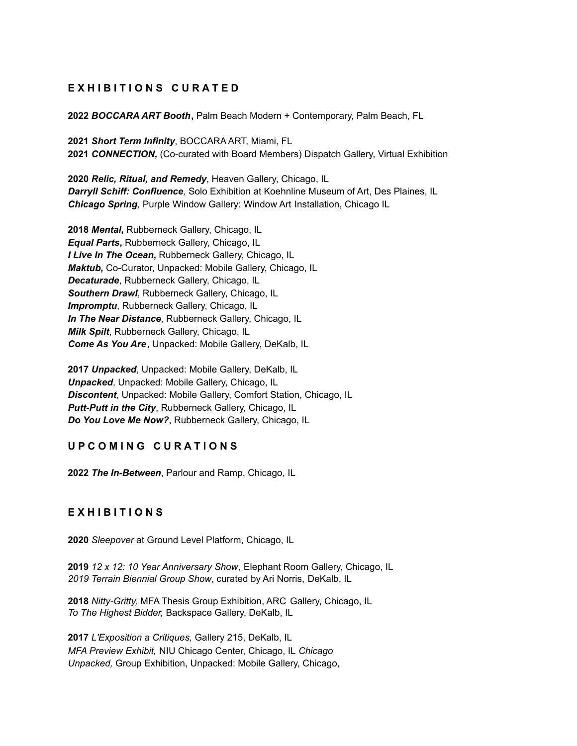# **E X H I B I T I O N S C U R A T E D**

**2022** *BOCCARA ART Booth***,** Palm Beach Modern + Contemporary, Palm Beach, FL

**2021** *Short Term Infinity*, BOCCARA ART, Miami, FL **2021** *CONNECTION,* (Co-curated with Board Members) Dispatch Gallery, Virtual Exhibition

**2020** *Relic, Ritual, and Remedy*, Heaven Gallery, Chicago, IL *Darryll Schiff: Confluence,* Solo Exhibition at Koehnline Museum of Art, Des Plaines, IL *Chicago Spring,* Purple Window Gallery: Window Art Installation, Chicago IL

**2018** *Mental***,** Rubberneck Gallery, Chicago, IL *Equal Parts***,** Rubberneck Gallery, Chicago, IL *I Live In The Ocean***,** Rubberneck Gallery, Chicago, IL *Maktub,* Co-Curator, Unpacked: Mobile Gallery, Chicago, IL *Decaturade*, Rubberneck Gallery, Chicago, IL *Southern Drawl*, Rubberneck Gallery, Chicago, IL *Impromptu*, Rubberneck Gallery, Chicago, IL *In The Near Distance*, Rubberneck Gallery, Chicago, IL *Milk Spilt*, Rubberneck Gallery, Chicago, IL *Come As You Are*, Unpacked: Mobile Gallery, DeKalb, IL

**2017** *Unpacked*, Unpacked: Mobile Gallery, DeKalb, IL *Unpacked*, Unpacked: Mobile Gallery, Chicago, IL *Discontent*, Unpacked: Mobile Gallery, Comfort Station, Chicago, IL *Putt-Putt in the City*, Rubberneck Gallery, Chicago, IL *Do You Love Me Now?*, Rubberneck Gallery, Chicago, IL

# **U P C O M I N G C U R A T I O N S**

**2022** *The In-Between*, Parlour and Ramp, Chicago, IL

# **E X H I B I T I O N S**

**2020** *Sleepover* at Ground Level Platform, Chicago, IL

**2019** *12 x 12: 10 Year Anniversary Show*, Elephant Room Gallery, Chicago, IL *2019 Terrain Biennial Group Show*, curated by Ari Norris, DeKalb, IL

**2018** *Nitty-Gritty,* MFA Thesis Group Exhibition, ARC Gallery, Chicago, IL *To The Highest Bidder,* Backspace Gallery, DeKalb, IL

**2017** *L'Exposition a Critiques,* Gallery 215, DeKalb, IL *MFA Preview Exhibit,* NIU Chicago Center, Chicago, IL *Chicago Unpacked,* Group Exhibition, Unpacked: Mobile Gallery, Chicago,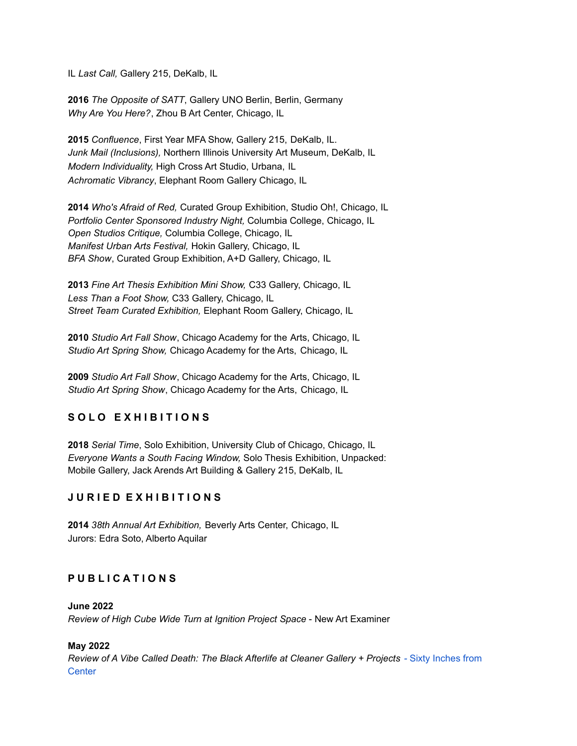IL *Last Call,* Gallery 215, DeKalb, IL

**2016** *The Opposite of SATT*, Gallery UNO Berlin, Berlin, Germany *Why Are You Here?*, Zhou B Art Center, Chicago, IL

**2015** *Confluence*, First Year MFA Show, Gallery 215, DeKalb, IL. *Junk Mail (Inclusions),* Northern Illinois University Art Museum, DeKalb, IL *Modern Individuality,* High Cross Art Studio, Urbana, IL *Achromatic Vibrancy*, Elephant Room Gallery Chicago, IL

**2014** *Who's Afraid of Red,* Curated Group Exhibition, Studio Oh!, Chicago, IL *Portfolio Center Sponsored Industry Night,* Columbia College, Chicago, IL *Open Studios Critique,* Columbia College, Chicago, IL *Manifest Urban Arts Festival,* Hokin Gallery, Chicago, IL *BFA Show*, Curated Group Exhibition, A+D Gallery, Chicago, IL

**2013** *Fine Art Thesis Exhibition Mini Show,* C33 Gallery, Chicago, IL *Less Than a Foot Show,* C33 Gallery, Chicago, IL *Street Team Curated Exhibition,* Elephant Room Gallery, Chicago, IL

**2010** *Studio Art Fall Show*, Chicago Academy for the Arts, Chicago, IL *Studio Art Spring Show,* Chicago Academy for the Arts, Chicago, IL

**2009** *Studio Art Fall Show*, Chicago Academy for the Arts, Chicago, IL *Studio Art Spring Show*, Chicago Academy for the Arts, Chicago, IL

# **S O L O E X H I B I T I O N S**

**2018** *Serial Time*, Solo Exhibition, University Club of Chicago, Chicago, IL *Everyone Wants a South Facing Window,* Solo Thesis Exhibition, Unpacked: Mobile Gallery, Jack Arends Art Building & Gallery 215, DeKalb, IL

# **J U R I E D E X H I B I T I O N S**

**2014** *38th Annual Art Exhibition,* Beverly Arts Center, Chicago, IL Jurors: Edra Soto, Alberto Aquilar

# **P U B L I C A T I O N S**

**June 2022** *Review of High Cube Wide Turn at Ignition Project Space* - New Art Examiner

## **May 2022**

*Review of A Vibe Called Death: The Black Afterlife at Cleaner Gallery + Projects -* Sixty [Inches](https://sixtyinchesfromcenter.org/review-of-a-vibe-called-death-the-black-afterlife-at-cleaner-gallery-projects/?fbclid=IwAR0R12dbU_TFin_QUfXonaYYvQ0XT17WI2yGgH7zx8kHoc-X1tOPJQsncO8) from **[Center](https://sixtyinchesfromcenter.org/review-of-a-vibe-called-death-the-black-afterlife-at-cleaner-gallery-projects/?fbclid=IwAR0R12dbU_TFin_QUfXonaYYvQ0XT17WI2yGgH7zx8kHoc-X1tOPJQsncO8)**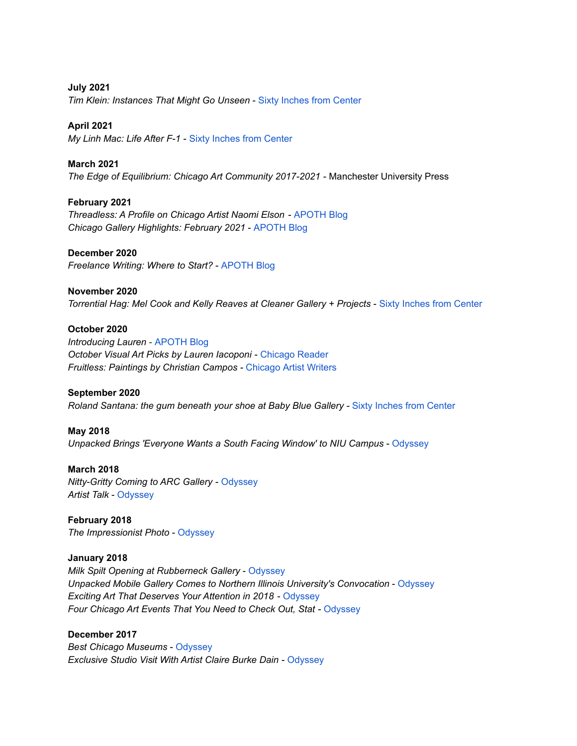**July 2021** *Tim Klein: Instances That Might Go Unseen* - Sixty Inches from [Center](https://sixtyinchesfromcenter.org/tim-klein-instances-that-might-go-unseen/)

**April 2021**

*My Linh Mac: Life After F-1 -* Sixty Inches from [Center](https://sixtyinchesfromcenter.org/my-linh-mac-life-after-f-1/?fbclid=IwAR2GdjDONEzaToQKzswjkRNeFi6W3FMDkXXgoREX1afbuks3rPCK47YyuG8)

**March 2021** *The Edge of Equilibrium: Chicago Art Community 2017-2021* - Manchester University Press

**February 2021** *Threadless: A Profile on Chicago Artist Naomi Elson* - [APOTH](https://apothcreative.com/2021/02/18/threads-a-profile-on-chicago-artist-naomi-elson/) Blog *Chicago Gallery Highlights: February 2021* - [APOTH](https://apothcreative.com/2021/02/11/chicago-gallery-highlights-february-2021/) Blog

**December 2020** *Freelance Writing: Where to Start?* - [APOTH](https://apothcreative.com/2020/12/06/freelance-writing-where-to-start/) Blog

**November 2020** *Torrential Hag: Mel Cook and Kelly Reaves at Cleaner Gallery + Projects* - Sixty Inches from [Center](https://sixtyinchesfromcenter.org/torrential-hag-at-cleaner-gallery-projects/)

**October 2020** *Introducing Lauren* - [APOTH](https://apothcreative.com/2020/10/31/introducing-lauren/) Blog *October Visual Art Picks by Lauren Iacoponi* - [Chicago](https://www.chicagoreader.com/chicago/our-favorite-things-for-fall-arts-part-two/Content?oid=83364953&fbclid=IwAR0B488TWqrNN3azpLD3OXVfRzdvqz210WCTWJXUsqVh475LugyD1Yr0n4A) Reader *Fruitless: Paintings by Christian Campos -* [Chicago](https://chicagoartistwriters.com/christian-campos-fruitless-at-gleaner-gallery-projects/) Artist Writers

**September 2020** *Roland Santana: the gum beneath your shoe at Baby Blue Gallery -* Sixty Inches from [Center](https://sixtyinchesfromcenter.org/roland-santana-the-gum-beneath-your-shoe-at-baby-blue-gallery/)

**May 2018** *Unpacked Brings 'Everyone Wants a South Facing Window' to NIU Campus* - [Odyssey](https://www.theodysseyonline.com/unpacked-brings-everyone-wants-south-facing-window-to-niu-campus)

**March 2018** *Nitty-Gritty Coming to ARC Gallery* - [Odyssey](https://www.theodysseyonline.com/nitty-gritty-coming-to-arc-gallery?sec=pop24&utm_expid=.53hHQ_sIS_GVYl9TPM4psw.1&utm_referrer=https%3A%2F%2Fwww.theodysseyonline.com%2Fuser%2F%40laureniacoponigmailcom%3Fsec%3Dpop24) *Artist Talk* - [Odyssey](https://www.theodysseyonline.com/artist-talk?sec=pop24&utm_expid=.53hHQ_sIS_GVYl9TPM4psw.1&utm_referrer=https%3A%2F%2Fwww.theodysseyonline.com%2Fuser%2F%40laureniacoponigmailcom%3Fsec%3Dpop24)

**February 2018** *The Impressionist Photo* - [Odyssey](https://www.theodysseyonline.com/the-impressionist-photo?sec=pop24&utm_expid=.53hHQ_sIS_GVYl9TPM4psw.1&utm_referrer=https%3A%2F%2Fwww.theodysseyonline.com%2Fuser%2F%40laureniacoponigmailcom%3Fsec%3Dpop24)

**January 2018** *Milk Spilt Opening at Rubberneck Gallery* - [Odyssey](https://www.theodysseyonline.com/milk-spilt-opening-at-rubberneck-gallery?sec=pop24&utm_expid=.53hHQ_sIS_GVYl9TPM4psw.1&utm_referrer=https%3A%2F%2Fwww.theodysseyonline.com%2Fuser%2F%40laureniacoponigmailcom%3Fsec%3Dpop24) *Unpacked Mobile Gallery Comes to Northern Illinois University's Convocation* - [Odyssey](https://www.theodysseyonline.com/unpacked-mobile-gallery-at-niu) *Exciting Art That Deserves Your Attention in 2018* - [Odyssey](https://www.theodysseyonline.com/exciting-art-in-2018) *Four Chicago Art Events That You Need to Check Out, Stat* - [Odyssey](https://www.theodysseyonline.com/staying-in-tune)

**December 2017** *Best Chicago Museums* - [Odyssey](https://www.theodysseyonline.com/best-chicago-museums) *Exclusive Studio Visit With Artist Claire Burke Dain* - [Odyssey](https://www.theodysseyonline.com/exclusive-studio-visit-with-artist-claire-burke-dain)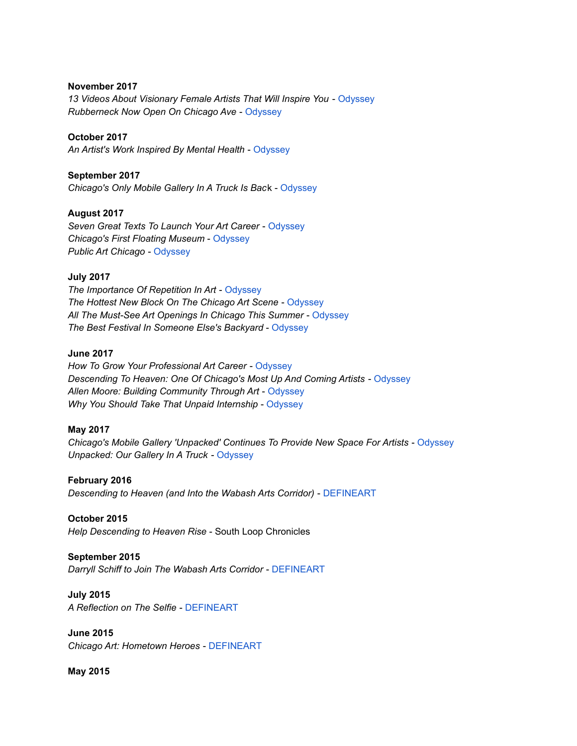#### **November 2017**

*13 Videos About Visionary Female Artists That Will Inspire You* - [Odyssey](https://www.theodysseyonline.com/thirteen-videos-on-visionary-female-artists) *Rubberneck Now Open On Chicago Ave* - [Odyssey](https://www.theodysseyonline.com/rubberneck-now-open-on-chicago-ave)

#### **October 2017**

*An Artist's Work Inspired By Mental Health* - [Odyssey](https://www.theodysseyonline.com/art-about-mental-health)

#### **September 2017**

*Chicago's Only Mobile Gallery In A Truck Is Bac*k - [Odyssey](https://www.theodysseyonline.com/chicagos-mobile-gallery-is-back)

#### **August 2017**

*Seven Great Texts To Launch Your Art Career* - [Odyssey](https://www.theodysseyonline.com/recommended-reading-for-the-back-to-school-artist) *Chicago's First Floating Museum* - [Odyssey](https://www.theodysseyonline.com/when-art-floats) *Public Art Chicago* - [Odyssey](https://www.theodysseyonline.com/discover-art-in-chicago)

#### **July 2017**

*The Importance Of Repetition In Art* - [Odyssey](https://www.theodysseyonline.com/repetition-in-art) *The Hottest New Block On The Chicago Art Scene* - [Odyssey](https://www.theodysseyonline.com/the-hottest-new-block-on-the-chicago-art-scene) *All The Must-See Art Openings In Chicago This Summer* - [Odyssey](https://www.theodysseyonline.com/must-see-openings-in-chicago) *The Best Festival In Someone Else's Backyard* - [Odyssey](https://www.theodysseyonline.com/the-best-festival-in-someone-elses-backyard)

#### **June 2017**

*How To Grow Your Professional Art Career* - [Odyssey](https://www.theodysseyonline.com/grow-your-professional-art-career) *Descending To Heaven: One Of Chicago's Most Up And Coming Artists* - [Odyssey](https://www.theodysseyonline.com/descending-to-heaven) *Allen Moore: Building Community Through Art* - [Odyssey](https://www.theodysseyonline.com/allen-moore-building-community-through-art) *Why You Should Take That Unpaid Internship* - [Odyssey](https://www.theodysseyonline.com/why-you-should-take-that-unpaid-internship)

#### **May 2017**

*Chicago's Mobile Gallery 'Unpacked' Continues To Provide New Space For Artists* - [Odyssey](https://www.theodysseyonline.com/unpacked-mobile-gallery) *Unpacked: Our Gallery In A Truck* - [Odyssey](https://www.theodysseyonline.com/our-gallery-truck)

#### **February 2016**

*Descending to Heaven (and Into the Wabash Arts Corridor)* - [DEFINEART](http://schiffphotography.blogspot.com/2016/02/descending-to-heaven-and-into-wabash.html?spref=tw)

## **October 2015**

*Help Descending to Heaven Rise* - South Loop Chronicles

## **September 2015**

*Darryll Schiff to Join The Wabash Arts Corridor* - [DEFINEART](http://schiffphotography.blogspot.com/2015/09/darryll-%20schiff-to-join-wabash-arts.html)

#### **July 2015**

*A Reflection on The Selfie* - [DEFINEART](http://schiffphotography.blogspot.com/2015/07/schiff-obama-oscars-look-at-selfies.html)

**June 2015** *Chicago Art: Hometown Heroes* - [DEFINEART](http://schiffphotography.blogspot.com/2015/06/chicago-art-hometown-%20heroes.html)

**May 2015**